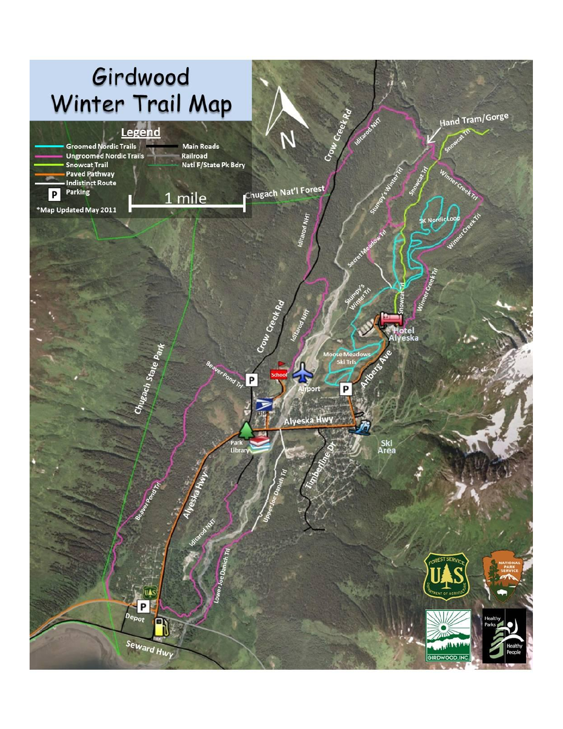